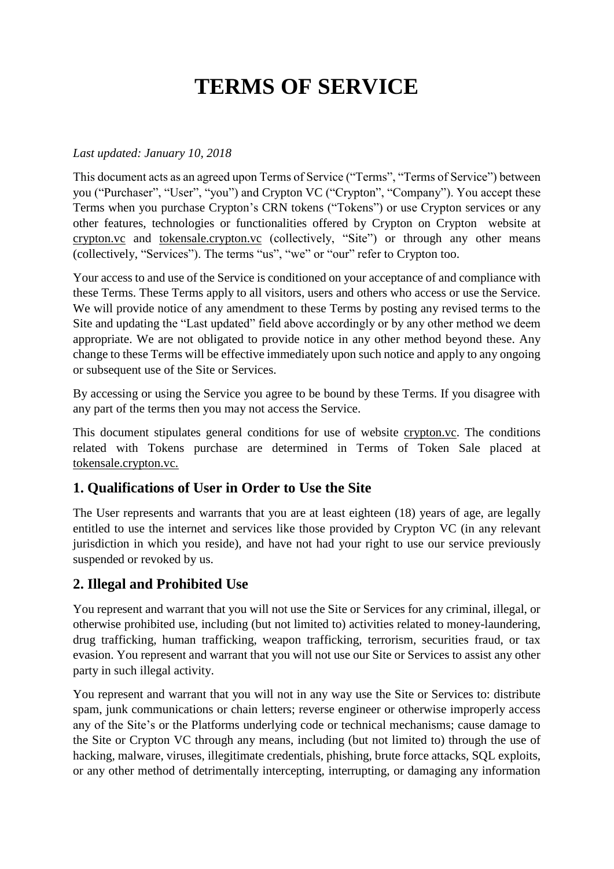# **TERMS OF SERVICE**

#### *Last updated: January 10, 2018*

This document acts as an agreed upon Terms of Service ("Terms", "Terms of Service") between you ("Purchaser", "User", "you") and Crypton VC ("Crypton", "Company"). You accept these Terms when you purchase Crypton's CRN tokens ("Tokens") or use Crypton services or any other features, technologies or functionalities offered by Crypton on Crypton website at crypton.vc and tokensale.crypton.vc (collectively, "Site") or through any other means (collectively, "Services"). The terms "us", "we" or "our" refer to Crypton too.

Your access to and use of the Service is conditioned on your acceptance of and compliance with these Terms. These Terms apply to all visitors, users and others who access or use the Service. We will provide notice of any amendment to these Terms by posting any revised terms to the Site and updating the "Last updated" field above accordingly or by any other method we deem appropriate. We are not obligated to provide notice in any other method beyond these. Any change to these Terms will be effective immediately upon such notice and apply to any ongoing or subsequent use of the Site or Services.

By accessing or using the Service you agree to be bound by these Terms. If you disagree with any part of the terms then you may not access the Service.

This document stipulates general conditions for use of website crypton.vc. The conditions related with Tokens purchase are determined in Terms of Token Sale placed at tokensale.crypton.vc.

#### **1. Qualifications of User in Order to Use the Site**

The User represents and warrants that you are at least eighteen (18) years of age, are legally entitled to use the internet and services like those provided by Crypton VC (in any relevant jurisdiction in which you reside), and have not had your right to use our service previously suspended or revoked by us.

#### **2. Illegal and Prohibited Use**

You represent and warrant that you will not use the Site or Services for any criminal, illegal, or otherwise prohibited use, including (but not limited to) activities related to money-laundering, drug trafficking, human trafficking, weapon trafficking, terrorism, securities fraud, or tax evasion. You represent and warrant that you will not use our Site or Services to assist any other party in such illegal activity.

You represent and warrant that you will not in any way use the Site or Services to: distribute spam, junk communications or chain letters; reverse engineer or otherwise improperly access any of the Site's or the Platforms underlying code or technical mechanisms; cause damage to the Site or Crypton VC through any means, including (but not limited to) through the use of hacking, malware, viruses, illegitimate credentials, phishing, brute force attacks, SQL exploits, or any other method of detrimentally intercepting, interrupting, or damaging any information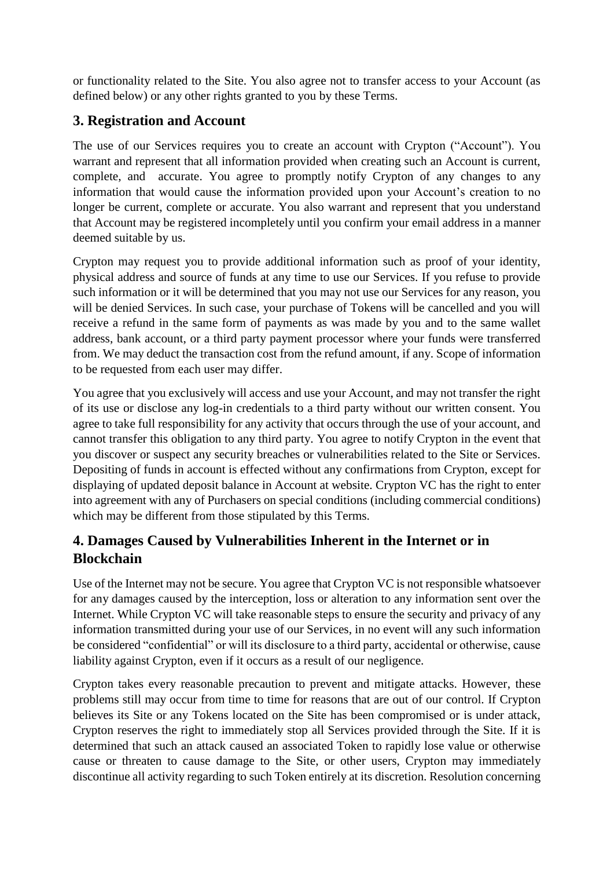or functionality related to the Site. You also agree not to transfer access to your Account (as defined below) or any other rights granted to you by these Terms.

#### **3. Registration and Account**

The use of our Services requires you to create an account with Crypton ("Account"). You warrant and represent that all information provided when creating such an Account is current, complete, and accurate. You agree to promptly notify Crypton of any changes to any information that would cause the information provided upon your Account's creation to no longer be current, complete or accurate. You also warrant and represent that you understand that Account may be registered incompletely until you confirm your email address in a manner deemed suitable by us.

Crypton may request you to provide additional information such as proof of your identity, physical address and source of funds at any time to use our Services. If you refuse to provide such information or it will be determined that you may not use our Services for any reason, you will be denied Services. In such case, your purchase of Tokens will be cancelled and you will receive a refund in the same form of payments as was made by you and to the same wallet address, bank account, or a third party payment processor where your funds were transferred from. We may deduct the transaction cost from the refund amount, if any. Scope of information to be requested from each user may differ.

You agree that you exclusively will access and use your Account, and may not transfer the right of its use or disclose any log-in credentials to a third party without our written consent. You agree to take full responsibility for any activity that occurs through the use of your account, and cannot transfer this obligation to any third party. You agree to notify Crypton in the event that you discover or suspect any security breaches or vulnerabilities related to the Site or Services. Depositing of funds in account is effected without any confirmations from Crypton, except for displaying of updated deposit balance in Account at website. Crypton VC has the right to enter into agreement with any of Purchasers on special conditions (including commercial conditions) which may be different from those stipulated by this Terms.

#### **4. Damages Caused by Vulnerabilities Inherent in the Internet or in Blockchain**

Use of the Internet may not be secure. You agree that Crypton VC is not responsible whatsoever for any damages caused by the interception, loss or alteration to any information sent over the Internet. While Crypton VC will take reasonable steps to ensure the security and privacy of any information transmitted during your use of our Services, in no event will any such information be considered "confidential" or will its disclosure to a third party, accidental or otherwise, cause liability against Crypton, even if it occurs as a result of our negligence.

Crypton takes every reasonable precaution to prevent and mitigate attacks. However, these problems still may occur from time to time for reasons that are out of our control. If Crypton believes its Site or any Tokens located on the Site has been compromised or is under attack, Crypton reserves the right to immediately stop all Services provided through the Site. If it is determined that such an attack caused an associated Token to rapidly lose value or otherwise cause or threaten to cause damage to the Site, or other users, Crypton may immediately discontinue all activity regarding to such Token entirely at its discretion. Resolution concerning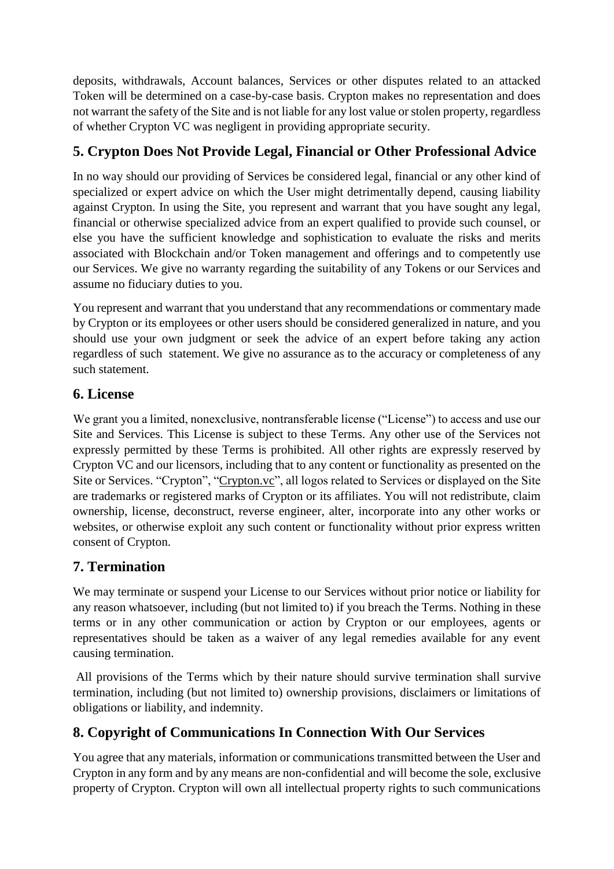deposits, withdrawals, Account balances, Services or other disputes related to an attacked Token will be determined on a case-by-case basis. Crypton makes no representation and does not warrant the safety of the Site and is not liable for any lost value or stolen property, regardless of whether Crypton VC was negligent in providing appropriate security.

# **5. Crypton Does Not Provide Legal, Financial or Other Professional Advice**

In no way should our providing of Services be considered legal, financial or any other kind of specialized or expert advice on which the User might detrimentally depend, causing liability against Crypton. In using the Site, you represent and warrant that you have sought any legal, financial or otherwise specialized advice from an expert qualified to provide such counsel, or else you have the sufficient knowledge and sophistication to evaluate the risks and merits associated with Blockchain and/or Token management and offerings and to competently use our Services. We give no warranty regarding the suitability of any Tokens or our Services and assume no fiduciary duties to you.

You represent and warrant that you understand that any recommendations or commentary made by Crypton or its employees or other users should be considered generalized in nature, and you should use your own judgment or seek the advice of an expert before taking any action regardless of such statement. We give no assurance as to the accuracy or completeness of any such statement.

#### **6. License**

We grant you a limited, nonexclusive, nontransferable license ("License") to access and use our Site and Services. This License is subject to these Terms. Any other use of the Services not expressly permitted by these Terms is prohibited. All other rights are expressly reserved by Crypton VC and our licensors, including that to any content or functionality as presented on the Site or Services. "Crypton", "Crypton.vc", all logos related to Services or displayed on the Site are trademarks or registered marks of Crypton or its affiliates. You will not redistribute, claim ownership, license, deconstruct, reverse engineer, alter, incorporate into any other works or websites, or otherwise exploit any such content or functionality without prior express written consent of Crypton.

# **7. Termination**

We may terminate or suspend your License to our Services without prior notice or liability for any reason whatsoever, including (but not limited to) if you breach the Terms. Nothing in these terms or in any other communication or action by Crypton or our employees, agents or representatives should be taken as a waiver of any legal remedies available for any event causing termination.

All provisions of the Terms which by their nature should survive termination shall survive termination, including (but not limited to) ownership provisions, disclaimers or limitations of obligations or liability, and indemnity.

# **8. Copyright of Communications In Connection With Our Services**

You agree that any materials, information or communications transmitted between the User and Crypton in any form and by any means are non-confidential and will become the sole, exclusive property of Crypton. Crypton will own all intellectual property rights to such communications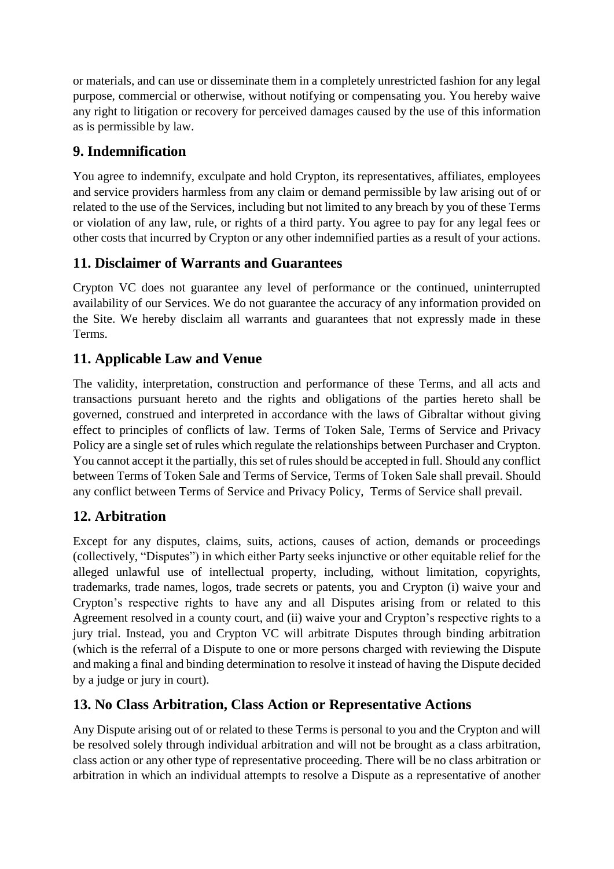or materials, and can use or disseminate them in a completely unrestricted fashion for any legal purpose, commercial or otherwise, without notifying or compensating you. You hereby waive any right to litigation or recovery for perceived damages caused by the use of this information as is permissible by law.

# **9. Indemnification**

You agree to indemnify, exculpate and hold Crypton, its representatives, affiliates, employees and service providers harmless from any claim or demand permissible by law arising out of or related to the use of the Services, including but not limited to any breach by you of these Terms or violation of any law, rule, or rights of a third party. You agree to pay for any legal fees or other costs that incurred by Crypton or any other indemnified parties as a result of your actions.

# **11. Disclaimer of Warrants and Guarantees**

Crypton VC does not guarantee any level of performance or the continued, uninterrupted availability of our Services. We do not guarantee the accuracy of any information provided on the Site. We hereby disclaim all warrants and guarantees that not expressly made in these Terms.

# **11. Applicable Law and Venue**

The validity, interpretation, construction and performance of these Terms, and all acts and transactions pursuant hereto and the rights and obligations of the parties hereto shall be governed, construed and interpreted in accordance with the laws of Gibraltar without giving effect to principles of conflicts of law. Terms of Token Sale, Terms of Service and Privacy Policy are a single set of rules which regulate the relationships between Purchaser and Crypton. You cannot accept it the partially, this set of rules should be accepted in full. Should any conflict between Terms of Token Sale and Terms of Service, Terms of Token Sale shall prevail. Should any conflict between Terms of Service and Privacy Policy, Terms of Service shall prevail.

# **12. Arbitration**

Except for any disputes, claims, suits, actions, causes of action, demands or proceedings (collectively, "Disputes") in which either Party seeks injunctive or other equitable relief for the alleged unlawful use of intellectual property, including, without limitation, copyrights, trademarks, trade names, logos, trade secrets or patents, you and Crypton (i) waive your and Crypton's respective rights to have any and all Disputes arising from or related to this Agreement resolved in a county court, and (ii) waive your and Crypton's respective rights to a jury trial. Instead, you and Crypton VC will arbitrate Disputes through binding arbitration (which is the referral of a Dispute to one or more persons charged with reviewing the Dispute and making a final and binding determination to resolve it instead of having the Dispute decided by a judge or jury in court).

# **13. No Class Arbitration, Class Action or Representative Actions**

Any Dispute arising out of or related to these Terms is personal to you and the Crypton and will be resolved solely through individual arbitration and will not be brought as a class arbitration, class action or any other type of representative proceeding. There will be no class arbitration or arbitration in which an individual attempts to resolve a Dispute as a representative of another